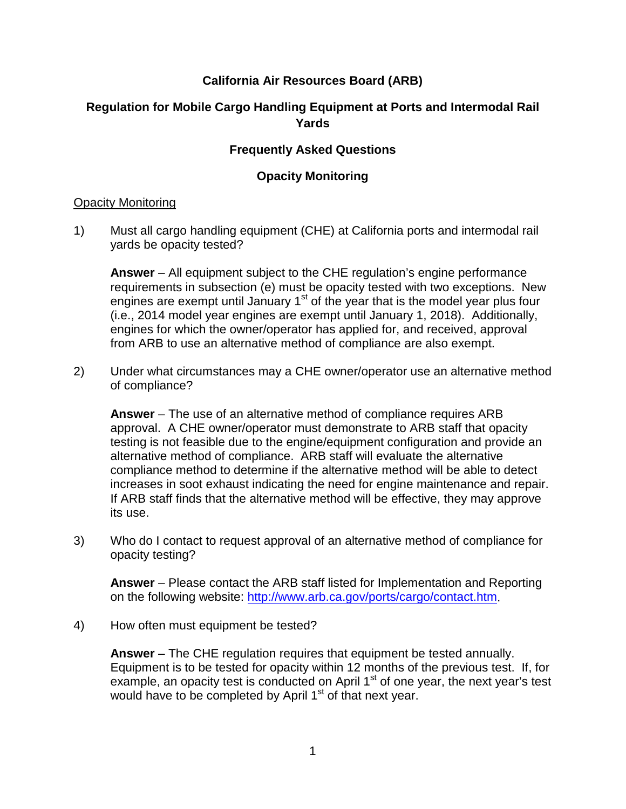## **California Air Resources Board (ARB)**

# **Regulation for Mobile Cargo Handling Equipment at Ports and Intermodal Rail Yards**

### **Frequently Asked Questions**

### **Opacity Monitoring**

#### Opacity Monitoring

1) Must all cargo handling equipment (CHE) at California ports and intermodal rail yards be opacity tested?

**Answer** – All equipment subject to the CHE regulation's engine performance requirements in subsection (e) must be opacity tested with two exceptions. New engines are exempt until January  $1<sup>st</sup>$  of the year that is the model year plus four (i.e., 2014 model year engines are exempt until January 1, 2018). Additionally, engines for which the owner/operator has applied for, and received, approval from ARB to use an alternative method of compliance are also exempt.

2) Under what circumstances may a CHE owner/operator use an alternative method of compliance?

**Answer** – The use of an alternative method of compliance requires ARB approval. A CHE owner/operator must demonstrate to ARB staff that opacity testing is not feasible due to the engine/equipment configuration and provide an alternative method of compliance. ARB staff will evaluate the alternative compliance method to determine if the alternative method will be able to detect increases in soot exhaust indicating the need for engine maintenance and repair. If ARB staff finds that the alternative method will be effective, they may approve its use.

3) Who do I contact to request approval of an alternative method of compliance for opacity testing?

**Answer** – Please contact the ARB staff listed for Implementation and Reporting on the following website: [http://www.arb.ca.gov/ports/cargo/contact.htm.](http://www.arb.ca.gov/ports/cargo/contact.htm)

4) How often must equipment be tested?

**Answer** – The CHE regulation requires that equipment be tested annually. Equipment is to be tested for opacity within 12 months of the previous test. If, for example, an opacity test is conducted on April  $1<sup>st</sup>$  of one year, the next year's test would have to be completed by April 1<sup>st</sup> of that next year.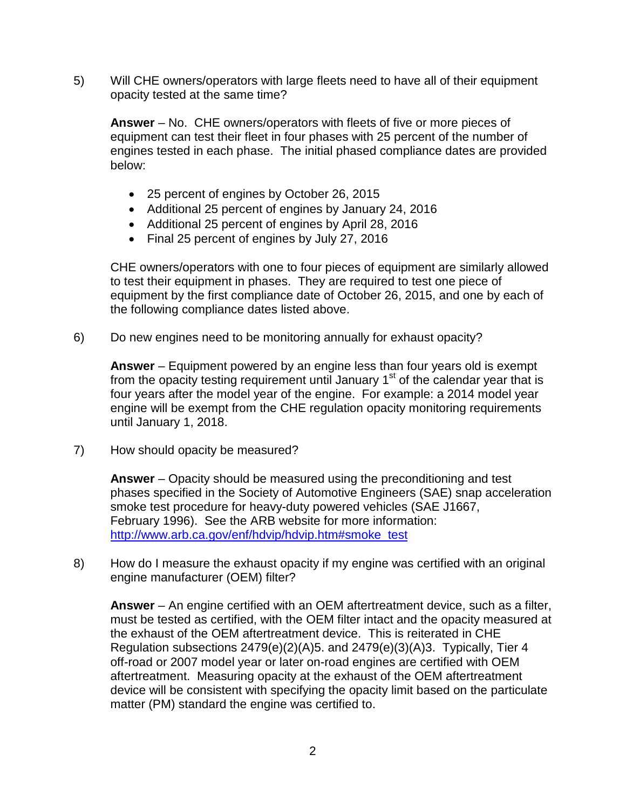5) Will CHE owners/operators with large fleets need to have all of their equipment opacity tested at the same time?

**Answer** – No. CHE owners/operators with fleets of five or more pieces of equipment can test their fleet in four phases with 25 percent of the number of engines tested in each phase. The initial phased compliance dates are provided below:

- 25 percent of engines by October 26, 2015
- Additional 25 percent of engines by January 24, 2016
- Additional 25 percent of engines by April 28, 2016
- Final 25 percent of engines by July 27, 2016

CHE owners/operators with one to four pieces of equipment are similarly allowed to test their equipment in phases. They are required to test one piece of equipment by the first compliance date of October 26, 2015, and one by each of the following compliance dates listed above.

6) Do new engines need to be monitoring annually for exhaust opacity?

**Answer** – Equipment powered by an engine less than four years old is exempt from the opacity testing requirement until January  $1<sup>st</sup>$  of the calendar year that is four years after the model year of the engine. For example: a 2014 model year engine will be exempt from the CHE regulation opacity monitoring requirements until January 1, 2018.

7) How should opacity be measured?

**Answer** – Opacity should be measured using the preconditioning and test phases specified in the Society of Automotive Engineers (SAE) snap acceleration smoke test procedure for heavy-duty powered vehicles (SAE J1667, February 1996). See the ARB website for more information: [http://www.arb.ca.gov/enf/hdvip/hdvip.htm#smoke\\_test](http://www.arb.ca.gov/enf/hdvip/hdvip.htm%23smoke_test)

8) How do I measure the exhaust opacity if my engine was certified with an original engine manufacturer (OEM) filter?

**Answer** – An engine certified with an OEM aftertreatment device, such as a filter, must be tested as certified, with the OEM filter intact and the opacity measured at the exhaust of the OEM aftertreatment device. This is reiterated in CHE Regulation subsections 2479(e)(2)(A)5. and 2479(e)(3)(A)3. Typically, Tier 4 off-road or 2007 model year or later on-road engines are certified with OEM aftertreatment. Measuring opacity at the exhaust of the OEM aftertreatment device will be consistent with specifying the opacity limit based on the particulate matter (PM) standard the engine was certified to.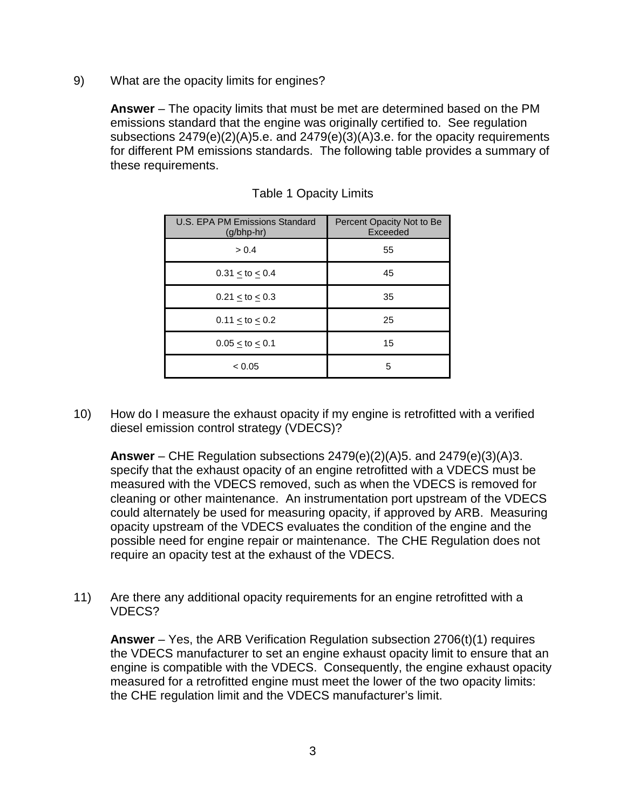9) What are the opacity limits for engines?

**Answer** – The opacity limits that must be met are determined based on the PM emissions standard that the engine was originally certified to. See regulation subsections 2479(e)(2)(A)5.e. and 2479(e)(3)(A)3.e. for the opacity requirements for different PM emissions standards. The following table provides a summary of these requirements.

| U.S. EPA PM Emissions Standard<br>$(g/bhp-hr)$ | Percent Opacity Not to Be<br>Exceeded |
|------------------------------------------------|---------------------------------------|
| > 0.4                                          | 55                                    |
| $0.31 <$ to $< 0.4$                            | 45                                    |
| $0.21 <$ to $< 0.3$                            | 35                                    |
| $0.11 <$ to $< 0.2$                            | 25                                    |
| $0.05 <$ to $< 0.1$                            | 15                                    |
| < 0.05                                         | 5                                     |

#### Table 1 Opacity Limits

10) How do I measure the exhaust opacity if my engine is retrofitted with a verified diesel emission control strategy (VDECS)?

**Answer** – CHE Regulation subsections 2479(e)(2)(A)5. and 2479(e)(3)(A)3. specify that the exhaust opacity of an engine retrofitted with a VDECS must be measured with the VDECS removed, such as when the VDECS is removed for cleaning or other maintenance. An instrumentation port upstream of the VDECS could alternately be used for measuring opacity, if approved by ARB. Measuring opacity upstream of the VDECS evaluates the condition of the engine and the possible need for engine repair or maintenance. The CHE Regulation does not require an opacity test at the exhaust of the VDECS.

11) Are there any additional opacity requirements for an engine retrofitted with a VDECS?

**Answer** – Yes, the ARB Verification Regulation subsection 2706(t)(1) requires the VDECS manufacturer to set an engine exhaust opacity limit to ensure that an engine is compatible with the VDECS. Consequently, the engine exhaust opacity measured for a retrofitted engine must meet the lower of the two opacity limits: the CHE regulation limit and the VDECS manufacturer's limit.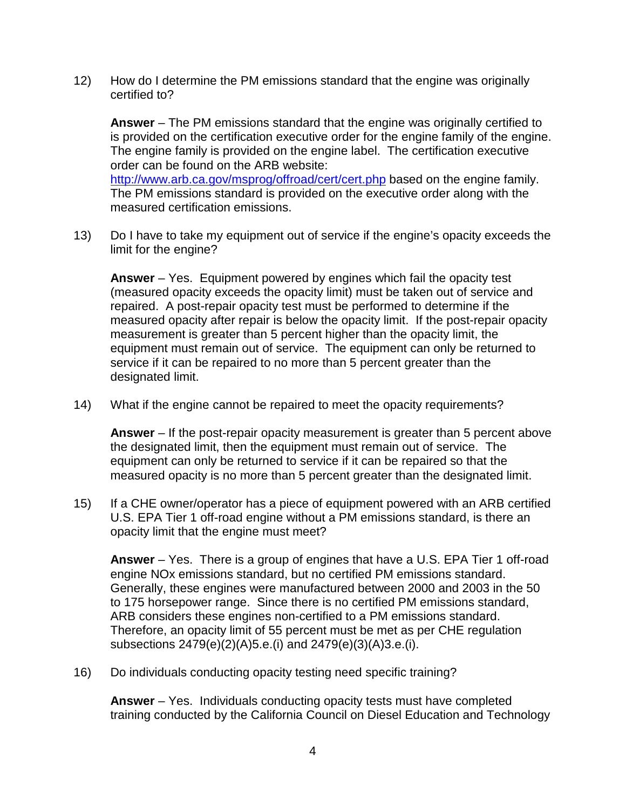12) How do I determine the PM emissions standard that the engine was originally certified to?

**Answer** – The PM emissions standard that the engine was originally certified to is provided on the certification executive order for the engine family of the engine. The engine family is provided on the engine label. The certification executive order can be found on the ARB website: <http://www.arb.ca.gov/msprog/offroad/cert/cert.php> based on the engine family. The PM emissions standard is provided on the executive order along with the measured certification emissions.

13) Do I have to take my equipment out of service if the engine's opacity exceeds the limit for the engine?

**Answer** – Yes. Equipment powered by engines which fail the opacity test (measured opacity exceeds the opacity limit) must be taken out of service and repaired. A post-repair opacity test must be performed to determine if the measured opacity after repair is below the opacity limit. If the post-repair opacity measurement is greater than 5 percent higher than the opacity limit, the equipment must remain out of service. The equipment can only be returned to service if it can be repaired to no more than 5 percent greater than the designated limit.

14) What if the engine cannot be repaired to meet the opacity requirements?

**Answer** – If the post-repair opacity measurement is greater than 5 percent above the designated limit, then the equipment must remain out of service. The equipment can only be returned to service if it can be repaired so that the measured opacity is no more than 5 percent greater than the designated limit.

15) If a CHE owner/operator has a piece of equipment powered with an ARB certified U.S. EPA Tier 1 off-road engine without a PM emissions standard, is there an opacity limit that the engine must meet?

**Answer** – Yes. There is a group of engines that have a U.S. EPA Tier 1 off-road engine NOx emissions standard, but no certified PM emissions standard. Generally, these engines were manufactured between 2000 and 2003 in the 50 to 175 horsepower range. Since there is no certified PM emissions standard, ARB considers these engines non-certified to a PM emissions standard. Therefore, an opacity limit of 55 percent must be met as per CHE regulation subsections 2479(e)(2)(A)5.e.(i) and 2479(e)(3)(A)3.e.(i).

16) Do individuals conducting opacity testing need specific training?

**Answer** – Yes. Individuals conducting opacity tests must have completed training conducted by the California Council on Diesel Education and Technology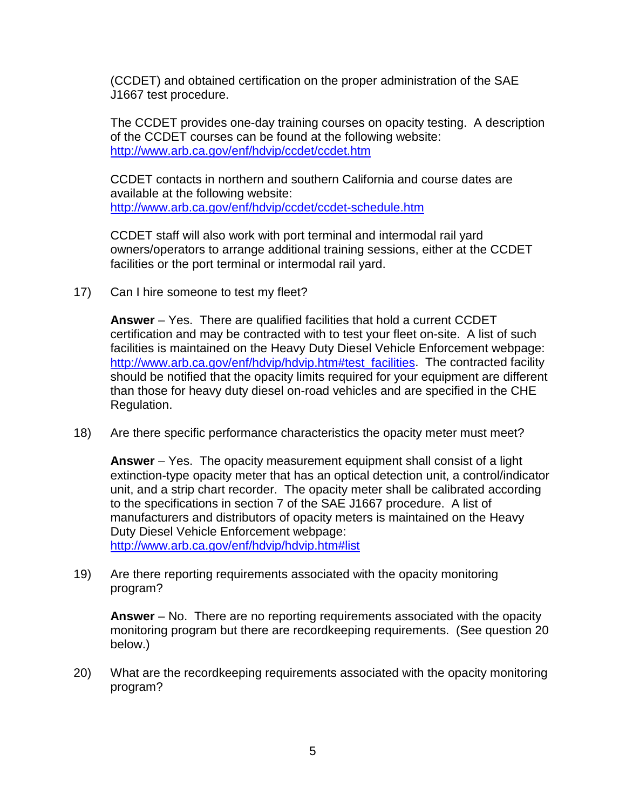(CCDET) and obtained certification on the proper administration of the SAE J1667 test procedure.

The CCDET provides one-day training courses on opacity testing. A description of the CCDET courses can be found at the following website: <http://www.arb.ca.gov/enf/hdvip/ccdet/ccdet.htm>

CCDET contacts in northern and southern California and course dates are available at the following website: <http://www.arb.ca.gov/enf/hdvip/ccdet/ccdet-schedule.htm>

CCDET staff will also work with port terminal and intermodal rail yard owners/operators to arrange additional training sessions, either at the CCDET facilities or the port terminal or intermodal rail yard.

17) Can I hire someone to test my fleet?

**Answer** – Yes. There are qualified facilities that hold a current CCDET certification and may be contracted with to test your fleet on-site. A list of such facilities is maintained on the Heavy Duty Diesel Vehicle Enforcement webpage: [http://www.arb.ca.gov/enf/hdvip/hdvip.htm#test\\_facilities.](http://www.arb.ca.gov/enf/hdvip/hdvip.htm%23test_facilities) The contracted facility should be notified that the opacity limits required for your equipment are different than those for heavy duty diesel on-road vehicles and are specified in the CHE Regulation.

18) Are there specific performance characteristics the opacity meter must meet?

**Answer** – Yes. The opacity measurement equipment shall consist of a light extinction-type opacity meter that has an optical detection unit, a control/indicator unit, and a strip chart recorder. The opacity meter shall be calibrated according to the specifications in section 7 of the SAE J1667 procedure. A list of manufacturers and distributors of opacity meters is maintained on the Heavy Duty Diesel Vehicle Enforcement webpage: [http://www.arb.ca.gov/enf/hdvip/hdvip.htm#list](http://www.arb.ca.gov/enf/hdvip/hdvip.htm%23list)

19) Are there reporting requirements associated with the opacity monitoring program?

**Answer** – No. There are no reporting requirements associated with the opacity monitoring program but there are recordkeeping requirements. (See question 20 below.)

20) What are the recordkeeping requirements associated with the opacity monitoring program?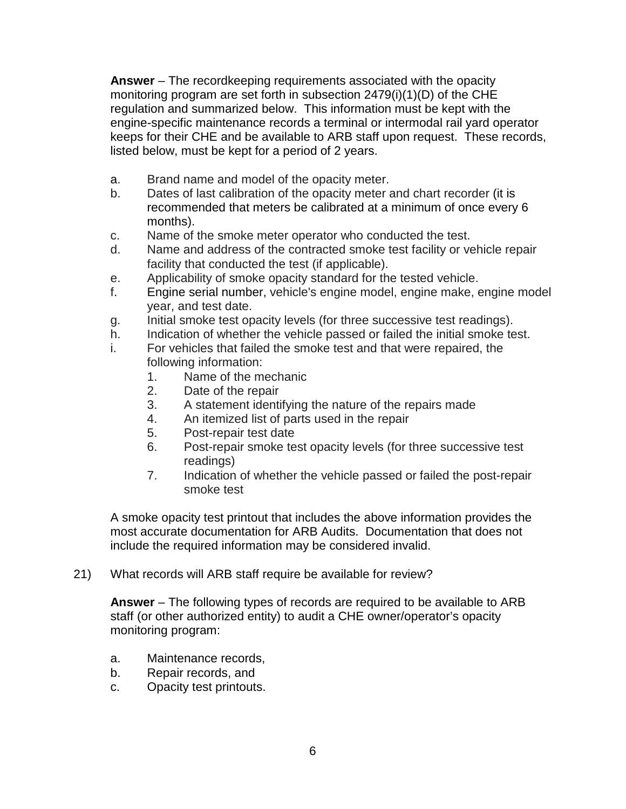**Answer** – The recordkeeping requirements associated with the opacity monitoring program are set forth in subsection 2479(i)(1)(D) of the CHE regulation and summarized below. This information must be kept with the engine-specific maintenance records a terminal or intermodal rail yard operator keeps for their CHE and be available to ARB staff upon request. These records, listed below, must be kept for a period of 2 years.

- a. Brand name and model of the opacity meter.
- b. Dates of last calibration of the opacity meter and chart recorder (it is recommended that meters be calibrated at a minimum of once every 6 months).
- c. Name of the smoke meter operator who conducted the test.
- d. Name and address of the contracted smoke test facility or vehicle repair facility that conducted the test (if applicable).
- e. Applicability of smoke opacity standard for the tested vehicle.
- f. Engine serial number, vehicle's engine model, engine make, engine model year, and test date.
- g. Initial smoke test opacity levels (for three successive test readings).
- h. Indication of whether the vehicle passed or failed the initial smoke test.
- i. For vehicles that failed the smoke test and that were repaired, the following information:
	- 1. Name of the mechanic
	- 2. Date of the repair
	- 3. A statement identifying the nature of the repairs made
	- 4. An itemized list of parts used in the repair
	- 5. Post-repair test date
	- 6. Post-repair smoke test opacity levels (for three successive test readings)
	- 7. Indication of whether the vehicle passed or failed the post-repair smoke test

A smoke opacity test printout that includes the above information provides the most accurate documentation for ARB Audits. Documentation that does not include the required information may be considered invalid.

21) What records will ARB staff require be available for review?

**Answer** – The following types of records are required to be available to ARB staff (or other authorized entity) to audit a CHE owner/operator's opacity monitoring program:

- a. Maintenance records,
- b. Repair records, and
- c. Opacity test printouts.